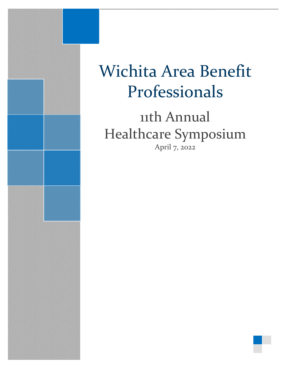

# Wichita Area Benefit Professionals

# 11th Annual Healthcare Symposium April 7, 2022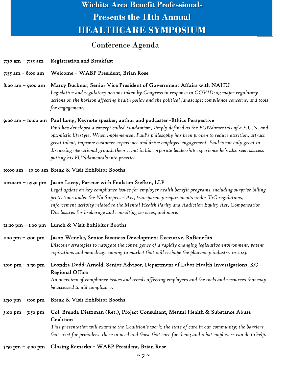Conference Agenda

7:30 am – 7:55 am Registration and Breakfast

7:55 am – 8:00 am Welcome – WABP President, Brian Rose

#### 8:00 am – 9:00 am Marcy Buckner, Senior Vice President of Government Affairs with NAHU

*Legislative and regulatory actions taken by Congress in response to COVID-19; major regulatory actions on the horizon affecting health policy and the political landscape; compliance concerns, and tools for engagement.*

#### 9:00 am – 10:00 am Paul Long, Keynote speaker, author and podcaster -Ethics Perspective

*Paul has developed a concept called Fundamism, simply defined as the FUNdamentals of a F.U.N. and optimistic lifestyle. When implemented, Paul's philosophy has been proven to reduce attrition, attract great talent, improve customer experience and drive employee engagement. Paul is not only great in discussing operational growth theory, but in his corporate leadership experience he's also seen success putting his FUNdamentals into practice.*

#### 10:00 am – 10:20 am Break & Visit Exhibitor Booths

#### 10:20am – 12:20 pm Jason Lacey, Partner with Foulston Siefkin, LLP

*Legal update on key compliance issues for employer health benefit programs, including surprise billing protections under the No Surprises Act, transparency requirements under TiC regulations, enforcement activity related to the Mental Health Parity and Addiction Equity Act, Compensation Disclosures for brokerage and consulting services, and more.*

#### 12:20 pm – 1:00 pm Lunch & Visit Exhibitor Booths

#### 1:00 pm – 2:00 pm Jason Wenzke, Senior Business Development Executive, RxBenefits

*Discover strategies to navigate the convergence of a rapidly changing legislative environment, patent expirations and new drugs coming to market that will reshape the pharmacy industry in 2023.*

#### 2:00 pm – 2:50 pm Leondra Dodd-Arnold, Senior Advisor, Department of Labor Health Investigations, KC Regional Office

*An overview of compliance issues and trends affecting employers and the tools and resources that may be accessed to aid compliance.*

#### 2:50 pm – 3:00 pm Break & Visit Exhibitor Booths

### 3:00 pm – 3:50 pm Col. Brenda Dietzman (Ret.), Project Consultant, Mental Health & Substance Abuse **Coalition**

*This presentation will examine the Coalition's work; the state of care in our community; the barriers that exist for providers, those in need and those that care for them; and what employers can do to help.*

3:50 pm – 4:00 pm Closing Remarks – WABP President, Brian Rose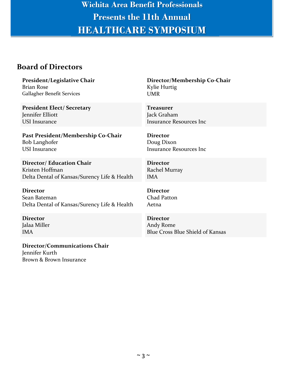### **Board of Directors**

**President/Legislative Chair** Brian Rose Gallagher Benefit Services

**President Elect/ Secretary** Jennifer Elliott USI Insurance

**Past President/Membership Co-Chair** Bob Langhofer USI Insurance

**Director/ Education Chair** Kristen Hoffman Delta Dental of Kansas/Surency Life & Health

**Director** Sean Bateman Delta Dental of Kansas/Surency Life & Health

**Director** Jalaa Miller IMA

**Director/Membership Co-Chair** Kylie Hurtig UMR

**Treasurer** Jack Graham Insurance Resources Inc

**Director** Doug Dixon Insurance Resources Inc

**Director** Rachel Murray IMA

**Director** Chad Patton Aetna

**Director** Andy Rome Blue Cross Blue Shield of Kansas

**Director/Communications Chair** Jennifer Kurth Brown & Brown Insurance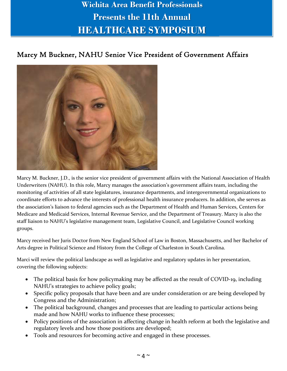### Marcy M Buckner, NAHU Senior Vice President of Government Affairs



Marcy M. Buckner, J.D., is the senior vice president of government affairs with the National Association of Health Underwriters (NAHU). In this role, Marcy manages the association's government affairs team, including the monitoring of activities of all state legislatures, insurance departments, and intergovernmental organizations to coordinate efforts to advance the interests of professional health insurance producers. In addition, she serves as the association's liaison to federal agencies such as the Department of Health and Human Services, Centers for Medicare and Medicaid Services, Internal Revenue Service, and the Department of Treasury. Marcy is also the staff liaison to NAHU's legislative management team, Legislative Council, and Legislative Council working groups.

Marcy received her Juris Doctor from New England School of Law in Boston, Massachusetts, and her Bachelor of Arts degree in Political Science and History from the College of Charleston in South Carolina.

Marci will review the political landscape as well as legislative and regulatory updates in her presentation, covering the following subjects:

- The political basis for how policymaking may be affected as the result of COVID-19, including NAHU's strategies to achieve policy goals;
- Specific policy proposals that have been and are under consideration or are being developed by Congress and the Administration;
- The political background, changes and processes that are leading to particular actions being made and how NAHU works to influence these processes;
- Policy positions of the association in affecting change in health reform at both the legislative and regulatory levels and how those positions are developed;
- Tools and resources for becoming active and engaged in these processes.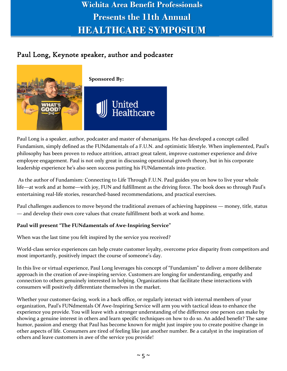### Paul Long, Keynote speaker, author and podcaster



Paul Long is a speaker, author, podcaster and master of shenanigans. He has developed a concept called Fundamism, simply defined as the FUNdamentals of a F.U.N. and optimistic lifestyle. When implemented, Paul's philosophy has been proven to reduce attrition, attract great talent, improve customer experience and drive employee engagement. Paul is not only great in discussing operational growth theory, but in his corporate leadership experience he's also seen success putting his FUNdamentals into practice.

As the author of Fundamism: Connecting to Life Through F.U.N. Paul guides you on how to live your whole life—at work and at home—with joy, FUN and fulfillment as the driving force. The book does so through Paul's entertaining real-life stories, researched-based recommendations, and practical exercises.

Paul challenges audiences to move beyond the traditional avenues of achieving happiness — money, title, status — and develop their own core values that create fulfillment both at work and home.

### **Paul will present "The FUNdamentals of Awe-Inspiring Service"**

When was the last time you felt inspired by the service you received?

World-class service experiences can help create customer loyalty, overcome price disparity from competitors and most importantly, positively impact the course of someone's day.

In this live or virtual experience, Paul Long leverages his concept of "Fundamism" to deliver a more deliberate approach in the creation of awe-inspiring service. Customers are longing for understanding, empathy and connection to others genuinely interested in helping. Organizations that facilitate these interactions with consumers will positively differentiate themselves in the market.

Whether your customer-facing, work in a back office, or regularly interact with internal members of your organization, Paul's FUNdmentals Of Awe-Inspiring Service will arm you with tactical ideas to enhance the experience you provide. You will leave with a stronger understanding of the difference one person can make by showing a genuine interest in others and learn specific techniques on how to do so. An added benefit? The same humor, passion and energy that Paul has become known for might just inspire you to create positive change in other aspects of life. Consumers are tired of feeling like just another number. Be a catalyst in the inspiration of others and leave customers in awe of the service you provide!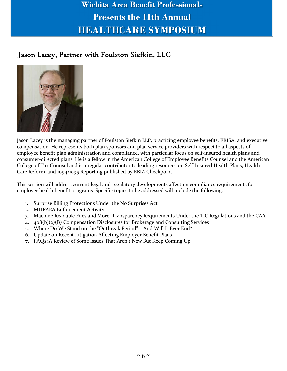### Jason Lacey, Partner with Foulston Siefkin, LLC



Jason Lacey is the managing partner of Foulston Siefkin LLP, practicing employee benefits, ERISA, and executive compensation. He represents both plan sponsors and plan service providers with respect to all aspects of employee benefit plan administration and compliance, with particular focus on self-insured health plans and consumer-directed plans. He is a fellow in the American College of Employee Benefits Counsel and the American College of Tax Counsel and is a regular contributor to leading resources on Self-Insured Health Plans, Health Care Reform, and 1094/1095 Reporting published by EBIA Checkpoint.

This session will address current legal and regulatory developments affecting compliance requirements for employer health benefit programs. Specific topics to be addressed will include the following:

- 1. Surprise Billing Protections Under the No Surprises Act
- 2. MHPAEA Enforcement Activity
- 3. Machine Readable Files and More: Transparency Requirements Under the TiC Regulations and the CAA
- 4. 408(b)(2)(B) Compensation Disclosures for Brokerage and Consulting Services
- 5. Where Do We Stand on the "Outbreak Period" And Will It Ever End?
- 6. Update on Recent Litigation Affecting Employer Benefit Plans
- 7. FAQs: A Review of Some Issues That Aren't New But Keep Coming Up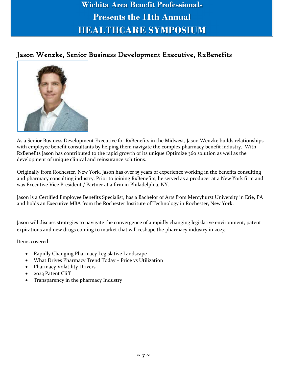### Jason Wenzke, Senior Business Development Executive, RxBenefits



As a Senior Business Development Executive for RxBenefits in the Midwest, Jason Wenzke builds relationships with employee benefit consultants by helping them navigate the complex pharmacy benefit industry. With RxBenefits Jason has contributed to the rapid growth of its unique Optimize 360 solution as well as the development of unique clinical and reinsurance solutions.

Originally from Rochester, New York, Jason has over 15 years of experience working in the benefits consulting and pharmacy consulting industry. Prior to joining RxBenefits, he served as a producer at a New York firm and was Executive Vice President / Partner at a firm in Philadelphia, NY.

Jason is a Certified Employee Benefits Specialist, has a Bachelor of Arts from Mercyhurst University in Erie, PA and holds an Executive MBA from the Rochester Institute of Technology in Rochester, New York.

Jason will discuss strategies to navigate the convergence of a rapidly changing legislative environment, patent expirations and new drugs coming to market that will reshape the pharmacy industry in 2023.

Items covered:

- Rapidly Changing Pharmacy Legislative Landscape
- What Drives Pharmacy Trend Today Price vs Utilization
- Pharmacy Volatility Drivers
- 2023 Patent Cliff
- Transparency in the pharmacy Industry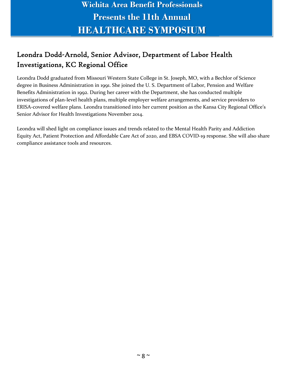## Leondra Dodd-Arnold, Senior Advisor, Department of Labor Health Investigations, KC Regional Office

Leondra Dodd graduated from Missouri Western State College in St. Joseph, MO, with a Bechlor of Science degree in Business Administration in 1991. She joined the U. S. Department of Labor, Pension and Welfare Benefits Administration in 1992. During her career with the Department, she has conducted multiple investigations of plan-level health plans, multiple employer welfare arrangements, and service providers to ERISA-covered welfare plans. Leondra transitioned into her current position as the Kansa City Regional Office's Senior Advisor for Health Investigations November 2014.

Leondra will shed light on compliance issues and trends related to the Mental Health Parity and Addiction Equity Act, Patient Protection and Affordable Care Act of 2020, and EBSA COVID-19 response. She will also share compliance assistance tools and resources.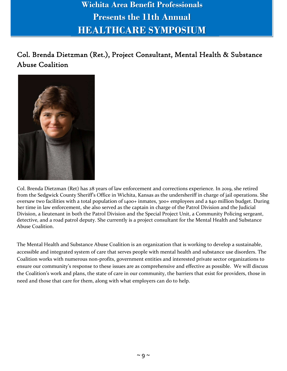Col. Brenda Dietzman (Ret.), Project Consultant, Mental Health & Substance Abuse Coalition



Col. Brenda Dietzman (Ret) has 28 years of law enforcement and corrections experience. In 2019, she retired from the Sedgwick County Sheriff's Office in Wichita, Kansas as the undersheriff in charge of jail operations. She oversaw two facilities with a total population of 1400+ inmates, 300+ employees and a \$40 million budget. During her time in law enforcement, she also served as the captain in charge of the Patrol Division and the Judicial Division, a lieutenant in both the Patrol Division and the Special Project Unit, a Community Policing sergeant, detective, and a road patrol deputy. She currently is a project consultant for the Mental Health and Substance Abuse Coalition.

The Mental Health and Substance Abuse Coalition is an organization that is working to develop a sustainable, accessible and integrated system of care that serves people with mental health and substance use disorders. The Coalition works with numerous non-profits, government entities and interested private sector organizations to ensure our community's response to these issues are as comprehensive and effective as possible. We will discuss the Coalition's work and plans, the state of care in our community, the barriers that exist for providers, those in need and those that care for them, along with what employers can do to help.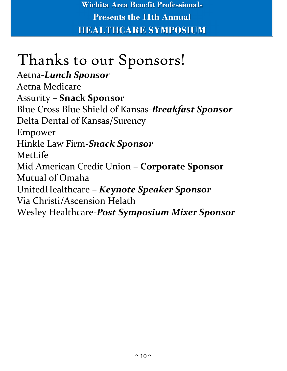# Thanks to our Sponsors!

Aetna-*Lunch Sponsor* Aetna Medicare Assurity – **Snack Sponsor** Blue Cross Blue Shield of Kansas-*Breakfast Sponsor* Delta Dental of Kansas/Surency Empower Hinkle Law Firm-*Snack Sponsor* MetLife Mid American Credit Union – **Corporate Sponsor** Mutual of Omaha UnitedHealthcare – *Keynote Speaker Sponsor* Via Christi/Ascension Helath Wesley Healthcare-*Post Symposium Mixer Sponsor*